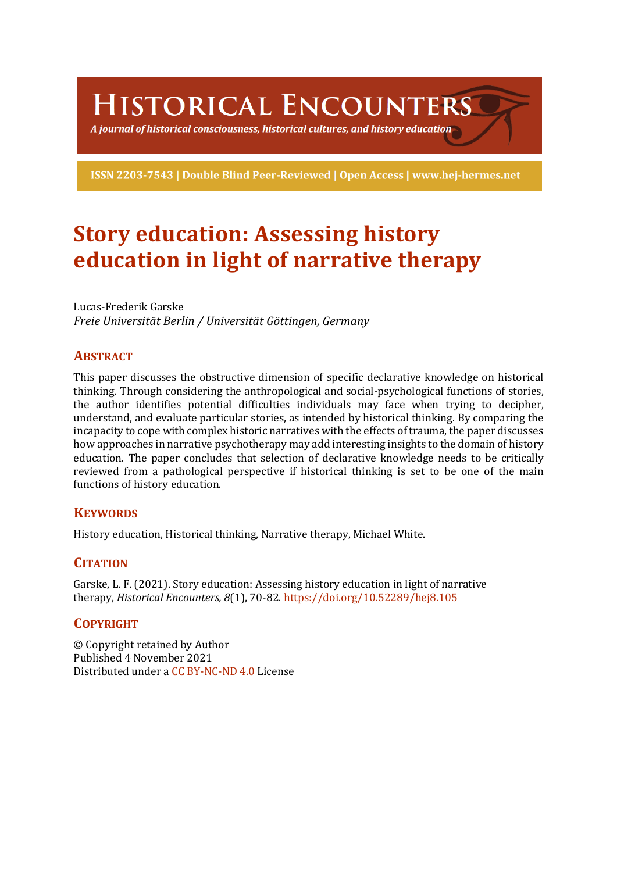**HISTORICAL ENCOUNTERS** 

A journal of historical consciousness, historical cultures, and history education  $\geq$ 

ISSN 2203-7543 | Double Blind Peer-Reviewed | Open Access | www.hej-hermes.net

# **Story education: Assessing history education in light of narrative therapy**

Lucas-Frederik Garske *Freie Universität Berlin / Universität Göttingen, Germany*

# **ABSTRACT**

This paper discusses the obstructive dimension of specific declarative knowledge on historical thinking. Through considering the anthropological and social-psychological functions of stories, the author identifies potential difficulties individuals may face when trying to decipher, understand, and evaluate particular stories, as intended by historical thinking. By comparing the incapacity to cope with complex historic narratives with the effects of trauma, the paper discusses how approaches in narrative psychotherapy may add interesting insights to the domain of history education. The paper concludes that selection of declarative knowledge needs to be critically reviewed from a pathological perspective if historical thinking is set to be one of the main functions of history education.

# **KEYWORDS**

History education, Historical thinking, Narrative therapy, Michael White.

# **CITATION**

Garske, L. F. (2021). Story education: Assessing history education in light of narrative therapy, *Historical Encounters, 8*(1), 70-82. https://doi.org/10.52289/hej8.105

# **COPYRIGHT**

© Copyright retained by Author Published 4 November 2021 Distributed under a CC BY-NC-ND 4.0 License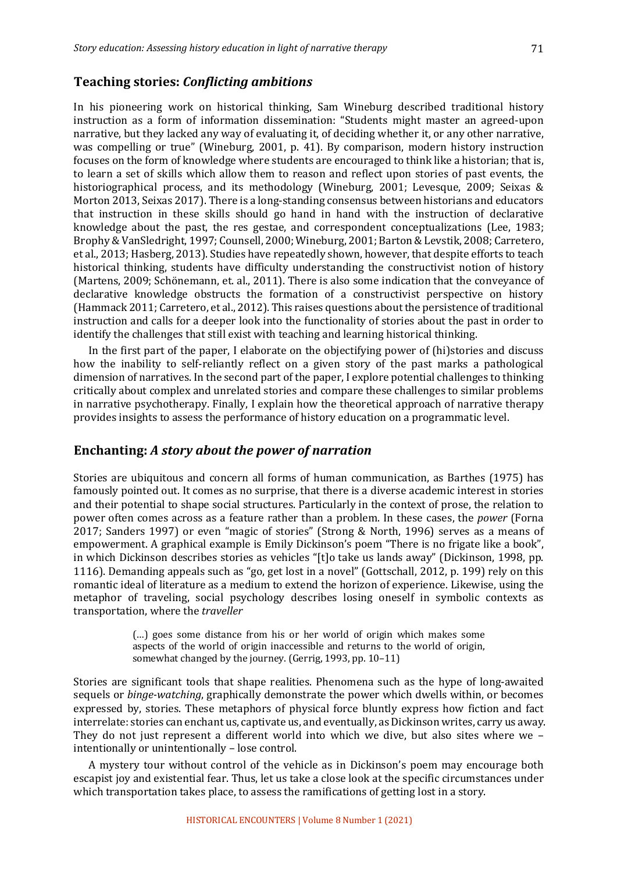#### **Teaching stories:** *Conflicting ambitions*

In his pioneering work on historical thinking, Sam Wineburg described traditional history instruction as a form of information dissemination: "Students might master an agreed-upon narrative, but they lacked any way of evaluating it, of deciding whether it, or any other narrative, was compelling or true" (Wineburg, 2001, p. 41). By comparison, modern history instruction focuses on the form of knowledge where students are encouraged to think like a historian; that is, to learn a set of skills which allow them to reason and reflect upon stories of past events, the historiographical process, and its methodology (Wineburg, 2001; Levesque, 2009; Seixas & Morton 2013, Seixas 2017). There is a long-standing consensus between historians and educators that instruction in these skills should go hand in hand with the instruction of declarative knowledge about the past, the res gestae, and correspondent conceptualizations (Lee, 1983; Brophy & VanSledright, 1997; Counsell, 2000; Wineburg, 2001; Barton & Levstik, 2008; Carretero, et al., 2013; Hasberg, 2013). Studies have repeatedly shown, however, that despite efforts to teach historical thinking, students have difficulty understanding the constructivist notion of history (Martens, 2009; Schönemann, et. al., 2011). There is also some indication that the conveyance of declarative knowledge obstructs the formation of a constructivist perspective on history (Hammack 2011; Carretero, et al., 2012). This raises questions about the persistence of traditional instruction and calls for a deeper look into the functionality of stories about the past in order to identify the challenges that still exist with teaching and learning historical thinking.

In the first part of the paper, I elaborate on the objectifying power of (hi)stories and discuss how the inability to self-reliantly reflect on a given story of the past marks a pathological dimension of narratives. In the second part of the paper, I explore potential challenges to thinking critically about complex and unrelated stories and compare these challenges to similar problems in narrative psychotherapy. Finally, I explain how the theoretical approach of narrative therapy provides insights to assess the performance of history education on a programmatic level.

#### **Enchanting:** *A story about the power of narration*

Stories are ubiquitous and concern all forms of human communication, as Barthes (1975) has famously pointed out. It comes as no surprise, that there is a diverse academic interest in stories and their potential to shape social structures. Particularly in the context of prose, the relation to power often comes across as a feature rather than a problem. In these cases, the *power* (Forna 2017; Sanders 1997) or even "magic of stories" (Strong & North, 1996) serves as a means of empowerment. A graphical example is Emily Dickinson's poem "There is no frigate like a book", in which Dickinson describes stories as vehicles "[t]o take us lands away" (Dickinson, 1998, pp. 1116). Demanding appeals such as "go, get lost in a novel" (Gottschall, 2012, p. 199) rely on this romantic ideal of literature as a medium to extend the horizon of experience. Likewise, using the metaphor of traveling, social psychology describes losing oneself in symbolic contexts as transportation, where the *traveller*

> (...) goes some distance from his or her world of origin which makes some aspects of the world of origin inaccessible and returns to the world of origin, somewhat changed by the journey. (Gerrig, 1993, pp. 10-11)

Stories are significant tools that shape realities. Phenomena such as the hype of long-awaited sequels or *binge-watching*, graphically demonstrate the power which dwells within, or becomes expressed by, stories. These metaphors of physical force bluntly express how fiction and fact interrelate: stories can enchant us, captivate us, and eventually, as Dickinson writes, carry us away. They do not just represent a different world into which we dive, but also sites where we  $$ intentionally or unintentionally - lose control.

A mystery tour without control of the vehicle as in Dickinson's poem may encourage both escapist joy and existential fear. Thus, let us take a close look at the specific circumstances under which transportation takes place, to assess the ramifications of getting lost in a story.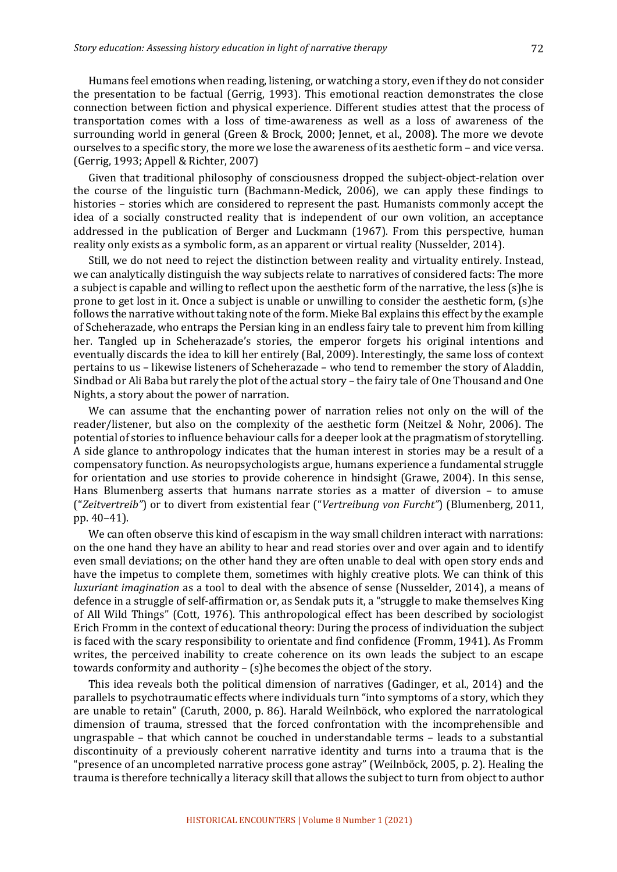Humans feel emotions when reading, listening, or watching a story, even if they do not consider the presentation to be factual (Gerrig, 1993). This emotional reaction demonstrates the close connection between fiction and physical experience. Different studies attest that the process of transportation comes with a loss of time-awareness as well as a loss of awareness of the surrounding world in general (Green & Brock, 2000; Jennet, et al., 2008). The more we devote ourselves to a specific story, the more we lose the awareness of its aesthetic form – and vice versa. (Gerrig, 1993; Appell & Richter, 2007)

Given that traditional philosophy of consciousness dropped the subject-object-relation over the course of the linguistic turn (Bachmann-Medick, 2006), we can apply these findings to histories – stories which are considered to represent the past. Humanists commonly accept the idea of a socially constructed reality that is independent of our own volition, an acceptance addressed in the publication of Berger and Luckmann (1967). From this perspective, human reality only exists as a symbolic form, as an apparent or virtual reality (Nusselder, 2014).

Still, we do not need to reject the distinction between reality and virtuality entirely. Instead, we can analytically distinguish the way subjects relate to narratives of considered facts: The more a subject is capable and willing to reflect upon the aesthetic form of the narrative, the less  $(s)$ he is prone to get lost in it. Once a subject is unable or unwilling to consider the aesthetic form, (s)he follows the narrative without taking note of the form. Mieke Bal explains this effect by the example of Scheherazade, who entraps the Persian king in an endless fairy tale to prevent him from killing her. Tangled up in Scheherazade's stories, the emperor forgets his original intentions and eventually discards the idea to kill her entirely (Bal, 2009). Interestingly, the same loss of context pertains to us - likewise listeners of Scheherazade - who tend to remember the story of Aladdin, Sindbad or Ali Baba but rarely the plot of the actual story – the fairy tale of One Thousand and One Nights, a story about the power of narration.

We can assume that the enchanting power of narration relies not only on the will of the reader/listener, but also on the complexity of the aesthetic form (Neitzel & Nohr, 2006). The potential of stories to influence behaviour calls for a deeper look at the pragmatism of storytelling. A side glance to anthropology indicates that the human interest in stories may be a result of a compensatory function. As neuropsychologists argue, humans experience a fundamental struggle for orientation and use stories to provide coherence in hindsight (Grawe, 2004). In this sense, Hans Blumenberg asserts that humans narrate stories as a matter of diversion  $-$  to amuse ("Zeitvertreib") or to divert from existential fear ("Vertreibung von Furcht") (Blumenberg, 2011, pp. 40–41).

We can often observe this kind of escapism in the way small children interact with narrations: on the one hand they have an ability to hear and read stories over and over again and to identify even small deviations; on the other hand they are often unable to deal with open story ends and have the impetus to complete them, sometimes with highly creative plots. We can think of this *luxuriant imagination* as a tool to deal with the absence of sense (Nusselder, 2014), a means of defence in a struggle of self-affirmation or, as Sendak puts it, a "struggle to make themselves King of All Wild Things" (Cott, 1976). This anthropological effect has been described by sociologist Erich Fromm in the context of educational theory: During the process of individuation the subject is faced with the scary responsibility to orientate and find confidence (Fromm, 1941). As Fromm writes, the perceived inability to create coherence on its own leads the subject to an escape towards conformity and authority  $-$  (s)he becomes the object of the story.

This idea reveals both the political dimension of narratives (Gadinger, et al., 2014) and the parallels to psychotraumatic effects where individuals turn "into symptoms of a story, which they are unable to retain" (Caruth, 2000, p. 86). Harald Weilnböck, who explored the narratological dimension of trauma, stressed that the forced confrontation with the incomprehensible and ungraspable  $-$  that which cannot be couched in understandable terms  $-$  leads to a substantial discontinuity of a previously coherent narrative identity and turns into a trauma that is the "presence of an uncompleted narrative process gone astray" (Weilnböck, 2005, p. 2). Healing the trauma is therefore technically a literacy skill that allows the subject to turn from object to author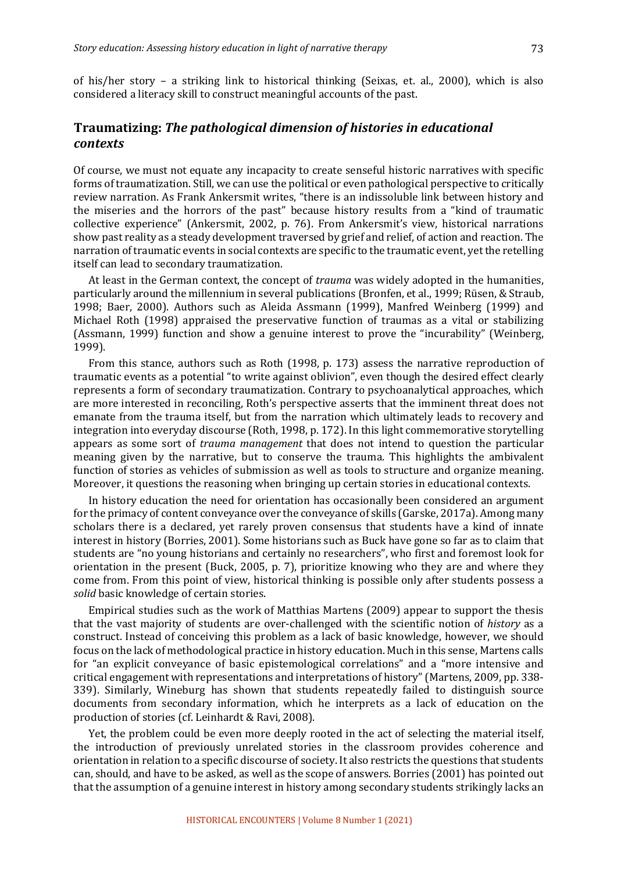### **Traumatizing: The pathological dimension of histories in educational** *contexts*

Of course, we must not equate any incapacity to create senseful historic narratives with specific forms of traumatization. Still, we can use the political or even pathological perspective to critically review narration. As Frank Ankersmit writes, "there is an indissoluble link between history and the miseries and the horrors of the past" because history results from a "kind of traumatic collective experience" (Ankersmit, 2002, p. 76). From Ankersmit's view, historical narrations show past reality as a steady development traversed by grief and relief, of action and reaction. The narration of traumatic events in social contexts are specific to the traumatic event, yet the retelling itself can lead to secondary traumatization.

At least in the German context, the concept of *trauma* was widely adopted in the humanities, particularly around the millennium in several publications (Bronfen, et al., 1999; Rüsen, & Straub, 1998; Baer, 2000). Authors such as Aleida Assmann (1999), Manfred Weinberg (1999) and Michael Roth (1998) appraised the preservative function of traumas as a vital or stabilizing (Assmann, 1999) function and show a genuine interest to prove the "incurability" (Weinberg, 1999). 

From this stance, authors such as Roth  $(1998, p. 173)$  assess the narrative reproduction of traumatic events as a potential "to write against oblivion", even though the desired effect clearly represents a form of secondary traumatization. Contrary to psychoanalytical approaches, which are more interested in reconciling, Roth's perspective asserts that the imminent threat does not emanate from the trauma itself, but from the narration which ultimately leads to recovery and integration into everyday discourse  $(Roth, 1998, p. 172)$ . In this light commemorative storytelling appears as some sort of *trauma management* that does not intend to question the particular meaning given by the narrative, but to conserve the trauma. This highlights the ambivalent function of stories as vehicles of submission as well as tools to structure and organize meaning. Moreover, it questions the reasoning when bringing up certain stories in educational contexts.

In history education the need for orientation has occasionally been considered an argument for the primacy of content conveyance over the conveyance of skills (Garske, 2017a). Among many scholars there is a declared, yet rarely proven consensus that students have a kind of innate interest in history (Borries, 2001). Some historians such as Buck have gone so far as to claim that students are "no young historians and certainly no researchers", who first and foremost look for orientation in the present (Buck, 2005, p. 7), prioritize knowing who they are and where they come from. From this point of view, historical thinking is possible only after students possess a solid basic knowledge of certain stories.

Empirical studies such as the work of Matthias Martens (2009) appear to support the thesis that the vast majority of students are over-challenged with the scientific notion of *history* as a construct. Instead of conceiving this problem as a lack of basic knowledge, however, we should focus on the lack of methodological practice in history education. Much in this sense, Martens calls for "an explicit conveyance of basic epistemological correlations" and a "more intensive and critical engagement with representations and interpretations of history" (Martens, 2009, pp. 338-339). Similarly, Wineburg has shown that students repeatedly failed to distinguish source documents from secondary information, which he interprets as a lack of education on the production of stories (cf. Leinhardt & Ravi, 2008).

Yet, the problem could be even more deeply rooted in the act of selecting the material itself, the introduction of previously unrelated stories in the classroom provides coherence and orientation in relation to a specific discourse of society. It also restricts the questions that students can, should, and have to be asked, as well as the scope of answers. Borries (2001) has pointed out that the assumption of a genuine interest in history among secondary students strikingly lacks an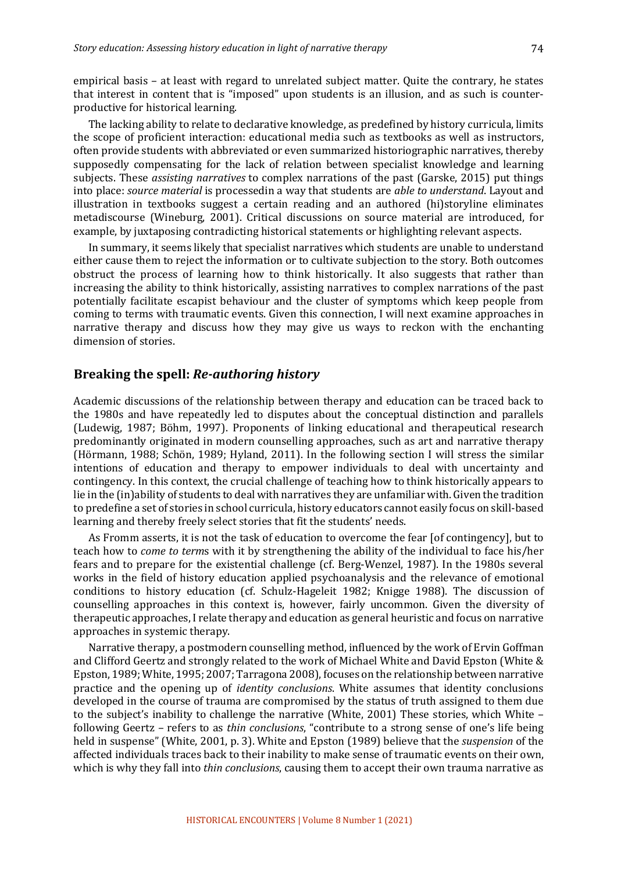empirical basis – at least with regard to unrelated subject matter. Quite the contrary, he states that interest in content that is "imposed" upon students is an illusion, and as such is counterproductive for historical learning.

The lacking ability to relate to declarative knowledge, as predefined by history curricula, limits the scope of proficient interaction: educational media such as textbooks as well as instructors, often provide students with abbreviated or even summarized historiographic narratives, thereby supposedly compensating for the lack of relation between specialist knowledge and learning subjects. These *assisting narratives* to complex narrations of the past (Garske, 2015) put things into place: *source material* is processedin a way that students are *able to understand*. Layout and illustration in textbooks suggest a certain reading and an authored (hi)storyline eliminates metadiscourse (Wineburg, 2001). Critical discussions on source material are introduced, for example, by juxtaposing contradicting historical statements or highlighting relevant aspects.

In summary, it seems likely that specialist narratives which students are unable to understand either cause them to reject the information or to cultivate subjection to the story. Both outcomes obstruct the process of learning how to think historically. It also suggests that rather than increasing the ability to think historically, assisting narratives to complex narrations of the past potentially facilitate escapist behaviour and the cluster of symptoms which keep people from coming to terms with traumatic events. Given this connection, I will next examine approaches in narrative therapy and discuss how they may give us ways to reckon with the enchanting dimension of stories.

#### **Breaking the spell: Re-authoring history**

Academic discussions of the relationship between therapy and education can be traced back to the 1980s and have repeatedly led to disputes about the conceptual distinction and parallels (Ludewig, 1987; Böhm, 1997). Proponents of linking educational and therapeutical research predominantly originated in modern counselling approaches, such as art and narrative therapy (Hörmann, 1988; Schön, 1989; Hyland, 2011). In the following section I will stress the similar intentions of education and therapy to empower individuals to deal with uncertainty and contingency. In this context, the crucial challenge of teaching how to think historically appears to lie in the (in)ability of students to deal with narratives they are unfamiliar with. Given the tradition to predefine a set of stories in school curricula, history educators cannot easily focus on skill-based learning and thereby freely select stories that fit the students' needs.

As Fromm asserts, it is not the task of education to overcome the fear [of contingency], but to teach how to *come to terms* with it by strengthening the ability of the individual to face his/her fears and to prepare for the existential challenge (cf. Berg-Wenzel, 1987). In the 1980s several works in the field of history education applied psychoanalysis and the relevance of emotional conditions to history education (cf. Schulz-Hageleit 1982; Knigge 1988). The discussion of counselling approaches in this context is, however, fairly uncommon. Given the diversity of therapeutic approaches, I relate therapy and education as general heuristic and focus on narrative approaches in systemic therapy.

Narrative therapy, a postmodern counselling method, influenced by the work of Ervin Goffman and Clifford Geertz and strongly related to the work of Michael White and David Epston (White & Epston, 1989; White, 1995; 2007; Tarragona 2008), focuses on the relationship between narrative practice and the opening up of *identity conclusions*. White assumes that identity conclusions developed in the course of trauma are compromised by the status of truth assigned to them due to the subject's inability to challenge the narrative (White, 2001) These stories, which White – following Geertz – refers to as *thin conclusions*, "contribute to a strong sense of one's life being held in suspense" (White, 2001, p. 3). White and Epston (1989) believe that the *suspension* of the affected individuals traces back to their inability to make sense of traumatic events on their own, which is why they fall into *thin conclusions*, causing them to accept their own trauma narrative as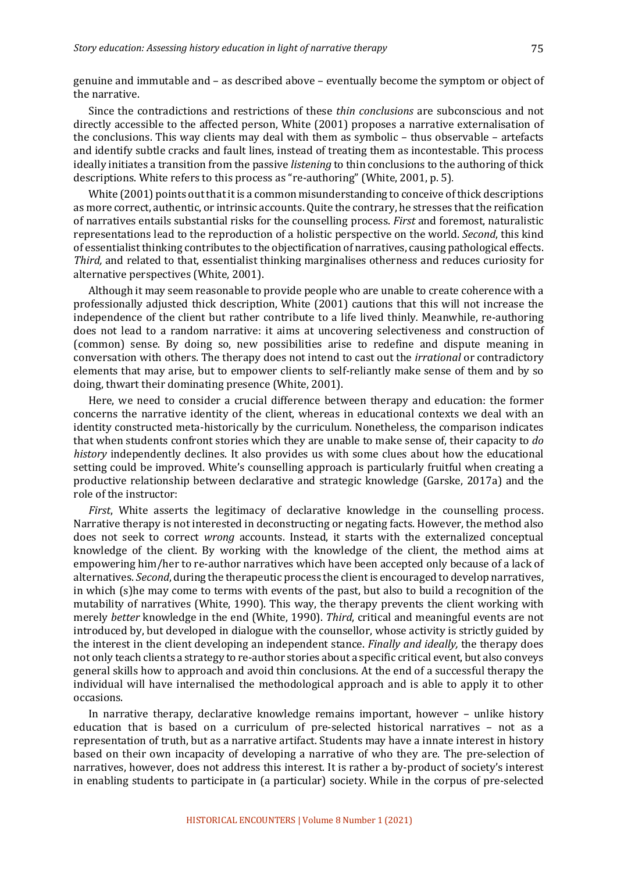genuine and immutable and – as described above – eventually become the symptom or object of the narrative.

Since the contradictions and restrictions of these *thin conclusions* are subconscious and not directly accessible to the affected person, White (2001) proposes a narrative externalisation of the conclusions. This way clients may deal with them as symbolic  $-$  thus observable  $-$  artefacts and identify subtle cracks and fault lines, instead of treating them as incontestable. This process ideally initiates a transition from the passive *listening* to thin conclusions to the authoring of thick descriptions. White refers to this process as "re-authoring" (White, 2001, p. 5).

White  $(2001)$  points out that it is a common misunderstanding to conceive of thick descriptions as more correct, authentic, or intrinsic accounts. Quite the contrary, he stresses that the reification of narratives entails substantial risks for the counselling process. *First* and foremost, naturalistic representations lead to the reproduction of a holistic perspective on the world. *Second*, this kind of essentialist thinking contributes to the objectification of narratives, causing pathological effects. *Third,* and related to that, essentialist thinking marginalises otherness and reduces curiosity for alternative perspectives (White, 2001).

Although it may seem reasonable to provide people who are unable to create coherence with a professionally adjusted thick description, White (2001) cautions that this will not increase the independence of the client but rather contribute to a life lived thinly. Meanwhile, re-authoring does not lead to a random narrative: it aims at uncovering selectiveness and construction of (common) sense. By doing so, new possibilities arise to redefine and dispute meaning in conversation with others. The therapy does not intend to cast out the *irrational* or contradictory elements that may arise, but to empower clients to self-reliantly make sense of them and by so doing, thwart their dominating presence (White, 2001).

Here, we need to consider a crucial difference between therapy and education: the former concerns the narrative identity of the client, whereas in educational contexts we deal with an identity constructed meta-historically by the curriculum. Nonetheless, the comparison indicates that when students confront stories which they are unable to make sense of, their capacity to *do history* independently declines. It also provides us with some clues about how the educational setting could be improved. White's counselling approach is particularly fruitful when creating a productive relationship between declarative and strategic knowledge (Garske, 2017a) and the role of the instructor:

*First*, White asserts the legitimacy of declarative knowledge in the counselling process. Narrative therapy is not interested in deconstructing or negating facts. However, the method also does not seek to correct *wrong* accounts. Instead, it starts with the externalized conceptual knowledge of the client. By working with the knowledge of the client, the method aims at empowering him/her to re-author narratives which have been accepted only because of a lack of alternatives. *Second*, during the therapeutic process the client is encouraged to develop narratives, in which  $(s)$ he may come to terms with events of the past, but also to build a recognition of the mutability of narratives (White, 1990). This way, the therapy prevents the client working with merely *better* knowledge in the end (White, 1990). *Third*, critical and meaningful events are not introduced by, but developed in dialogue with the counsellor, whose activity is strictly guided by the interest in the client developing an independent stance. *Finally and ideally*, the therapy does not only teach clients a strategy to re-author stories about a specific critical event, but also conveys general skills how to approach and avoid thin conclusions. At the end of a successful therapy the individual will have internalised the methodological approach and is able to apply it to other occasions. 

In narrative therapy, declarative knowledge remains important, however  $-$  unlike history education that is based on a curriculum of pre-selected historical narratives – not as a representation of truth, but as a narrative artifact. Students may have a innate interest in history based on their own incapacity of developing a narrative of who they are. The pre-selection of narratives, however, does not address this interest. It is rather a by-product of society's interest in enabling students to participate in (a particular) society. While in the corpus of pre-selected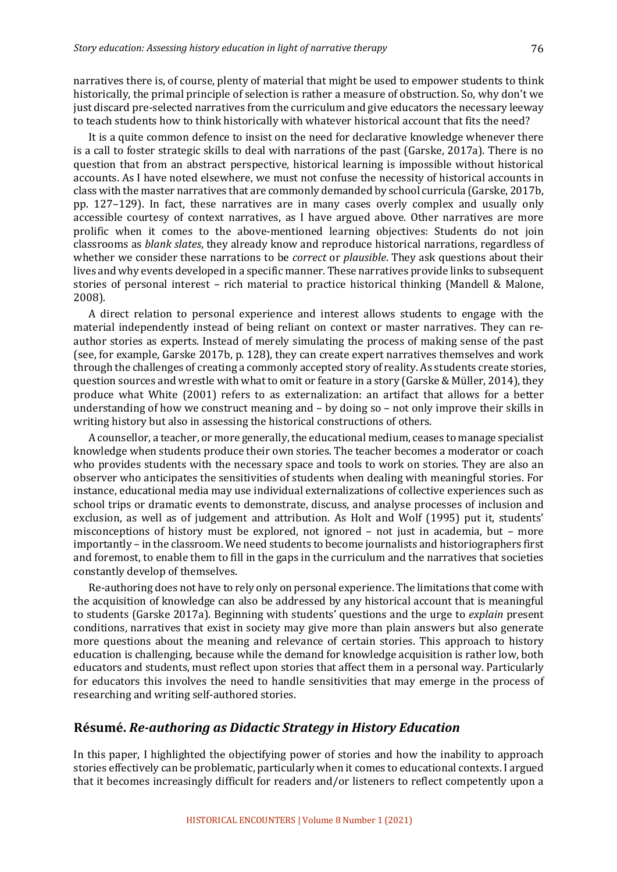narratives there is, of course, plenty of material that might be used to empower students to think historically, the primal principle of selection is rather a measure of obstruction. So, why don't we just discard pre-selected narratives from the curriculum and give educators the necessary leeway to teach students how to think historically with whatever historical account that fits the need?

It is a quite common defence to insist on the need for declarative knowledge whenever there is a call to foster strategic skills to deal with narrations of the past (Garske, 2017a). There is no question that from an abstract perspective, historical learning is impossible without historical accounts. As I have noted elsewhere, we must not confuse the necessity of historical accounts in class with the master narratives that are commonly demanded by school curricula (Garske, 2017b, pp. 127–129). In fact, these narratives are in many cases overly complex and usually only accessible courtesy of context narratives, as I have argued above. Other narratives are more prolific when it comes to the above-mentioned learning objectives: Students do not join classrooms as *blank slates*, they already know and reproduce historical narrations, regardless of whether we consider these narrations to be *correct* or *plausible*. They ask questions about their lives and why events developed in a specific manner. These narratives provide links to subsequent stories of personal interest – rich material to practice historical thinking (Mandell & Malone, 2008). 

A direct relation to personal experience and interest allows students to engage with the material independently instead of being reliant on context or master narratives. They can reauthor stories as experts. Instead of merely simulating the process of making sense of the past (see, for example, Garske 2017b, p. 128), they can create expert narratives themselves and work through the challenges of creating a commonly accepted story of reality. As students create stories, question sources and wrestle with what to omit or feature in a story (Garske & Müller, 2014), they produce what White (2001) refers to as externalization: an artifact that allows for a better understanding of how we construct meaning and  $-$  by doing so  $-$  not only improve their skills in writing history but also in assessing the historical constructions of others.

A counsellor, a teacher, or more generally, the educational medium, ceases to manage specialist knowledge when students produce their own stories. The teacher becomes a moderator or coach who provides students with the necessary space and tools to work on stories. They are also an observer who anticipates the sensitivities of students when dealing with meaningful stories. For instance, educational media may use individual externalizations of collective experiences such as school trips or dramatic events to demonstrate, discuss, and analyse processes of inclusion and exclusion, as well as of judgement and attribution. As Holt and Wolf (1995) put it, students' misconceptions of history must be explored, not ignored  $-$  not just in academia, but  $-$  more importantly – in the classroom. We need students to become journalists and historiographers first and foremost, to enable them to fill in the gaps in the curriculum and the narratives that societies constantly develop of themselves.

Re-authoring does not have to rely only on personal experience. The limitations that come with the acquisition of knowledge can also be addressed by any historical account that is meaningful to students (Garske 2017a). Beginning with students' questions and the urge to *explain* present conditions, narratives that exist in society may give more than plain answers but also generate more questions about the meaning and relevance of certain stories. This approach to history education is challenging, because while the demand for knowledge acquisition is rather low, both educators and students, must reflect upon stories that affect them in a personal way. Particularly for educators this involves the need to handle sensitivities that may emerge in the process of researching and writing self-authored stories.

#### **Résumé.** *Re-authoring as Didactic Strategy in History Education*

In this paper, I highlighted the objectifying power of stories and how the inability to approach stories effectively can be problematic, particularly when it comes to educational contexts. I argued that it becomes increasingly difficult for readers and/or listeners to reflect competently upon a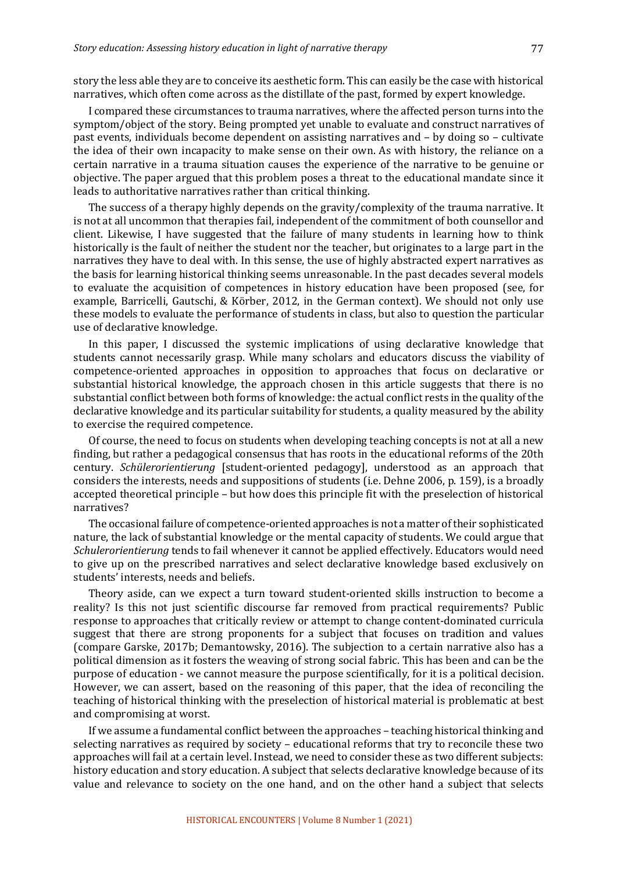story the less able they are to conceive its aesthetic form. This can easily be the case with historical narratives, which often come across as the distillate of the past, formed by expert knowledge.

I compared these circumstances to trauma narratives, where the affected person turns into the symptom/object of the story. Being prompted yet unable to evaluate and construct narratives of past events, individuals become dependent on assisting narratives and  $-$  by doing so  $-$  cultivate the idea of their own incapacity to make sense on their own. As with history, the reliance on a certain narrative in a trauma situation causes the experience of the narrative to be genuine or objective. The paper argued that this problem poses a threat to the educational mandate since it leads to authoritative narratives rather than critical thinking.

The success of a therapy highly depends on the gravity/complexity of the trauma narrative. It is not at all uncommon that therapies fail, independent of the commitment of both counsellor and client. Likewise, I have suggested that the failure of many students in learning how to think historically is the fault of neither the student nor the teacher, but originates to a large part in the narratives they have to deal with. In this sense, the use of highly abstracted expert narratives as the basis for learning historical thinking seems unreasonable. In the past decades several models to evaluate the acquisition of competences in history education have been proposed (see, for example, Barricelli, Gautschi, & Körber, 2012, in the German context). We should not only use these models to evaluate the performance of students in class, but also to question the particular use of declarative knowledge.

In this paper, I discussed the systemic implications of using declarative knowledge that students cannot necessarily grasp. While many scholars and educators discuss the viability of competence-oriented approaches in opposition to approaches that focus on declarative or substantial historical knowledge, the approach chosen in this article suggests that there is no substantial conflict between both forms of knowledge: the actual conflict rests in the quality of the declarative knowledge and its particular suitability for students, a quality measured by the ability to exercise the required competence.

Of course, the need to focus on students when developing teaching concepts is not at all a new finding, but rather a pedagogical consensus that has roots in the educational reforms of the 20th century. *Schülerorientierung* [student-oriented pedagogy], understood as an approach that considers the interests, needs and suppositions of students (i.e. Dehne 2006, p. 159), is a broadly accepted theoretical principle – but how does this principle fit with the preselection of historical narratives? 

The occasional failure of competence-oriented approaches is not a matter of their sophisticated nature, the lack of substantial knowledge or the mental capacity of students. We could argue that *Schulerorientierung* tends to fail whenever it cannot be applied effectively. Educators would need to give up on the prescribed narratives and select declarative knowledge based exclusively on students' interests, needs and beliefs.

Theory aside, can we expect a turn toward student-oriented skills instruction to become a reality? Is this not just scientific discourse far removed from practical requirements? Public response to approaches that critically review or attempt to change content-dominated curricula suggest that there are strong proponents for a subject that focuses on tradition and values (compare Garske, 2017b; Demantowsky, 2016). The subjection to a certain narrative also has a political dimension as it fosters the weaving of strong social fabric. This has been and can be the purpose of education - we cannot measure the purpose scientifically, for it is a political decision. However, we can assert, based on the reasoning of this paper, that the idea of reconciling the teaching of historical thinking with the preselection of historical material is problematic at best and compromising at worst.

If we assume a fundamental conflict between the approaches - teaching historical thinking and selecting narratives as required by society – educational reforms that try to reconcile these two approaches will fail at a certain level. Instead, we need to consider these as two different subjects: history education and story education. A subject that selects declarative knowledge because of its value and relevance to society on the one hand, and on the other hand a subject that selects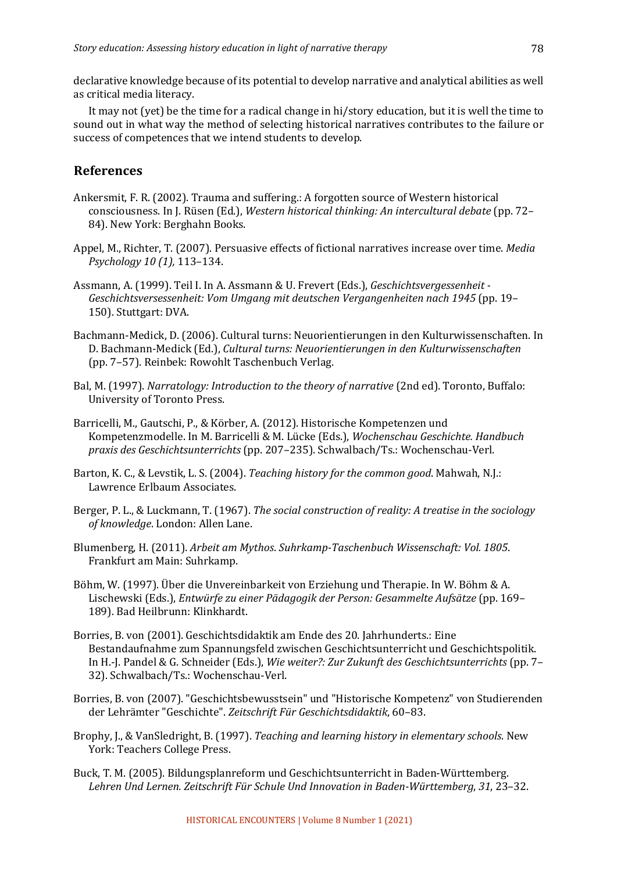declarative knowledge because of its potential to develop narrative and analytical abilities as well as critical media literacy.

It may not (yet) be the time for a radical change in hi/story education, but it is well the time to sound out in what way the method of selecting historical narratives contributes to the failure or success of competences that we intend students to develop.

# **References**

- Ankersmit, F. R. (2002). Trauma and suffering.: A forgotten source of Western historical consciousness. In J. Rüsen (Ed.), *Western historical thinking: An intercultural debate* (pp. 72– 84). New York: Berghahn Books.
- Appel, M., Richter, T. (2007). Persuasive effects of fictional narratives increase over time. *Media Psychology 10 (1),* 113–134.
- Assmann, A. (1999). Teil I. In A. Assmann & U. Frevert (Eds.), *Geschichtsvergessenheit* -Geschichtsversessenheit: Vom Umgang mit deutschen Vergangenheiten nach 1945 (pp. 19– 150). Stuttgart: DVA.
- Bachmann-Medick, D. (2006). Cultural turns: Neuorientierungen in den Kulturwissenschaften. In D. Bachmann-Medick (Ed.), *Cultural turns: Neuorientierungen in den Kulturwissenschaften* (pp. 7-57). Reinbek: Rowohlt Taschenbuch Verlag.
- Bal, M. (1997). *Narratology: Introduction to the theory of narrative* (2nd ed). Toronto, Buffalo: University of Toronto Press.
- Barricelli, M., Gautschi, P., & Körber, A. (2012). Historische Kompetenzen und Kompetenzmodelle. In M. Barricelli & M. Lücke (Eds.), *Wochenschau Geschichte. Handbuch praxis des Geschichtsunterrichts* (pp. 207–235). Schwalbach/Ts.: Wochenschau-Verl.
- Barton, K. C., & Levstik, L. S. (2004). *Teaching history for the common good*. Mahwah, N.J.: Lawrence Erlbaum Associates.
- Berger, P. L., & Luckmann, T. (1967). *The social construction of reality: A treatise in the sociology* of knowledge. London: Allen Lane.
- Blumenberg, H. (2011). *Arbeit am Mythos. Suhrkamp-Taschenbuch Wissenschaft: Vol. 1805.* Frankfurt am Main: Suhrkamp.
- Böhm, W. (1997). Über die Unvereinbarkeit von Erziehung und Therapie. In W. Böhm & A. Lischewski (Eds.), *Entwürfe zu einer Pädagogik der Person: Gesammelte Aufsätze* (pp. 169– 189). Bad Heilbrunn: Klinkhardt.
- Borries, B. von (2001). Geschichtsdidaktik am Ende des 20. Jahrhunderts.: Eine Bestandaufnahme zum Spannungsfeld zwischen Geschichtsunterricht und Geschichtspolitik. In H.-J. Pandel & G. Schneider (Eds.), *Wie weiter?: Zur Zukunft des Geschichtsunterrichts* (pp. 7– 32). Schwalbach/Ts.: Wochenschau-Verl.
- Borries, B. von (2007). "Geschichtsbewusstsein" und "Historische Kompetenz" von Studierenden der Lehrämter "Geschichte". *Zeitschrift Für Geschichtsdidaktik*, 60–83.
- Brophy, J., & VanSledright, B. (1997). *Teaching and learning history in elementary schools*. New York: Teachers College Press.
- Buck, T. M. (2005). Bildungsplanreform und Geschichtsunterricht in Baden-Württemberg. Lehren Und Lernen. Zeitschrift Für Schule Und Innovation in Baden-Württemberg, 31, 23-32.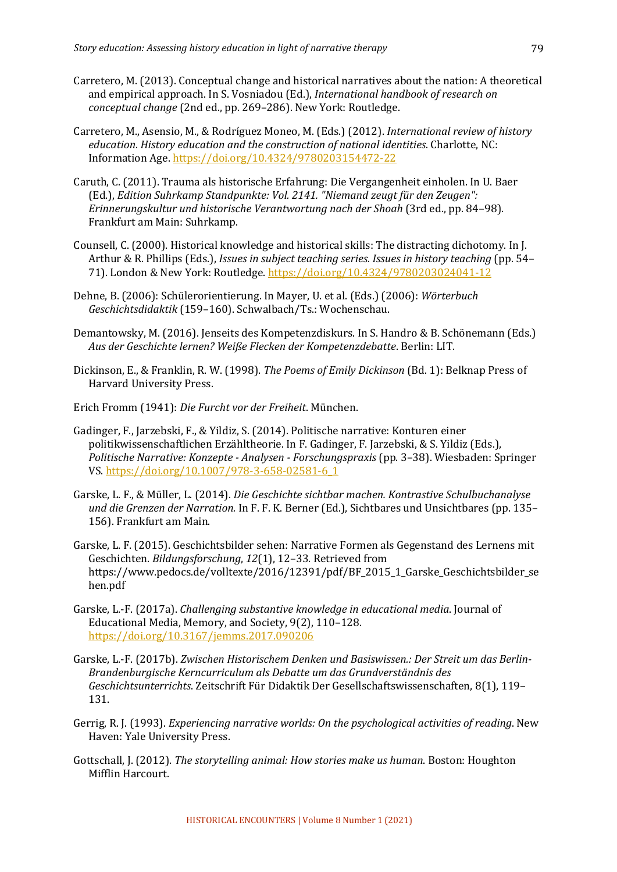- Carretero, M. (2013). Conceptual change and historical narratives about the nation: A theoretical and empirical approach. In S. Vosniadou (Ed.), *International handbook of research on conceptual change* (2nd ed., pp. 269–286). New York: Routledge.
- Carretero, M., Asensio, M., & Rodríguez Moneo, M. (Eds.) (2012). *International review of history* education. *History education and the construction of national identities*. Charlotte, NC: Information Age. https://doi.org/10.4324/9780203154472-22
- Caruth, C. (2011). Trauma als historische Erfahrung: Die Vergangenheit einholen. In U. Baer (Ed.), *Edition Suhrkamp Standpunkte: Vol. 2141.* "Niemand zeugt für den Zeugen": *Erinnerungskultur und historische Verantwortung nach der Shoah* (3rd ed., pp. 84–98). Frankfurt am Main: Suhrkamp.
- Counsell, C. (2000). Historical knowledge and historical skills: The distracting dichotomy. In J. Arthur & R. Phillips (Eds.), *Issues in subject teaching series. Issues in history teaching* (pp. 54– 71). London & New York: Routledge. https://doi.org/10.4324/9780203024041-12
- Dehne, B. (2006): Schülerorientierung. In Mayer, U. et al. (Eds.) (2006): *Wörterbuch Geschichtsdidaktik* (159–160). Schwalbach/Ts.: Wochenschau.
- Demantowsky, M. (2016). Jenseits des Kompetenzdiskurs. In S. Handro & B. Schönemann (Eds.) *Aus der Geschichte lernen? Weiße Flecken der Kompetenzdebatte*. Berlin: LIT.
- Dickinson, E., & Franklin, R. W. (1998). *The Poems of Emily Dickinson* (Bd. 1): Belknap Press of Harvard University Press.
- Erich Fromm (1941): *Die Furcht vor der Freiheit*. München.
- Gadinger, F., Jarzebski, F., & Yildiz, S. (2014). Politische narrative: Konturen einer politikwissenschaftlichen Erzähltheorie. In F. Gadinger, F. Jarzebski, & S. Yildiz (Eds.), *Politische Narrative: Konzepte - Analysen - Forschungspraxis* (pp. 3–38). Wiesbaden: Springer VS. https://doi.org/10.1007/978-3-658-02581-6\_1
- Garske, L. F., & Müller, L. (2014). *Die Geschichte sichtbar machen. Kontrastive Schulbuchanalyse und die Grenzen der Narration.* In F. F. K. Berner (Ed.), Sichtbares und Unsichtbares (pp. 135– 156). Frankfurt am Main.
- Garske, L. F. (2015). Geschichtsbilder sehen: Narrative Formen als Gegenstand des Lernens mit Geschichten. *Bildungsforschung*, 12(1), 12-33. Retrieved from https://www.pedocs.de/volltexte/2016/12391/pdf/BF\_2015\_1\_Garske\_Geschichtsbilder\_se hen.pdf
- Garske, L.-F. (2017a). *Challenging substantive knowledge in educational media*. Journal of Educational Media, Memory, and Society, 9(2), 110-128. https://doi.org/10.3167/jemms.2017.090206
- Garske, L.-F. (2017b). Zwischen Historischem Denken und Basiswissen.: Der Streit um das Berlin-*Brandenburgische Kerncurriculum als Debatte um das Grundverständnis des Geschichtsunterrichts*. Zeitschrift Für Didaktik Der Gesellschaftswissenschaften, 8(1), 119– 131.
- Gerrig, R. J. (1993). *Experiencing narrative worlds: On the psychological activities of reading*. New Haven: Yale University Press.
- Gottschall, J. (2012). *The storytelling animal: How stories make us human*. Boston: Houghton Mifflin Harcourt.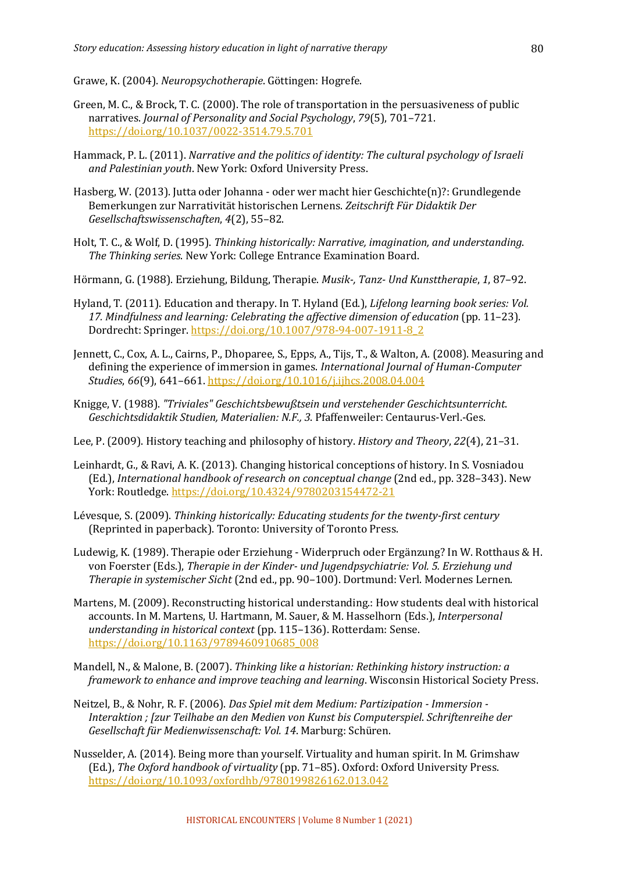Grawe, K. (2004). *Neuropsychotherapie*. Göttingen: Hogrefe.

- Green, M. C., & Brock, T. C. (2000). The role of transportation in the persuasiveness of public narratives. *Journal of Personality and Social Psychology*, 79(5), 701-721. https://doi.org/10.1037/0022-3514.79.5.701
- Hammack, P. L. (2011). *Narrative and the politics of identity: The cultural psychology of Israeli* and Palestinian youth. New York: Oxford University Press.
- Hasberg, W. (2013). Jutta oder Johanna oder wer macht hier Geschichte(n)?: Grundlegende Bemerkungen zur Narrativität historischen Lernens. Zeitschrift Für Didaktik Der *Gesellschaftswissenschaften*, *4*(2), 55–82.
- Holt, T. C., & Wolf, D. (1995). *Thinking historically: Narrative, imagination, and understanding.* The Thinking series. New York: College Entrance Examination Board.
- Hörmann, G. (1988). Erziehung, Bildung, Therapie. *Musik-, Tanz- Und Kunsttherapie*, *1*, 87–92.
- Hyland, T. (2011). Education and therapy. In T. Hyland (Ed.), *Lifelong learning book series: Vol.* 17. Mindfulness and learning: Celebrating the affective dimension of education (pp. 11-23). Dordrecht: Springer. https://doi.org/10.1007/978-94-007-1911-8\_2
- Jennett, C., Cox, A. L., Cairns, P., Dhoparee, S., Epps, A., Tijs, T., & Walton, A. (2008). Measuring and defining the experience of immersion in games. *International Journal of Human-Computer Studies*, 66(9), 641-661. https://doi.org/10.1016/j.ijhcs.2008.04.004
- Knigge, V. (1988). *"Triviales" Geschichtsbewußtsein und verstehender Geschichtsunterricht*. *Geschichtsdidaktik Studien, Materialien: N.F., 3*. Pfaffenweiler: Centaurus-Verl.-Ges.
- Lee, P. (2009). History teaching and philosophy of history. *History and Theory*, 22(4), 21–31.
- Leinhardt, G., & Ravi, A. K. (2013). Changing historical conceptions of history. In S. Vosniadou (Ed.), *International handbook of research on conceptual change* (2nd ed., pp. 328–343). New York: Routledge. https://doi.org/10.4324/9780203154472-21
- Lévesque, S. (2009). *Thinking historically: Educating students for the twenty-first century* (Reprinted in paperback). Toronto: University of Toronto Press.
- Ludewig, K. (1989). Therapie oder Erziehung Widerpruch oder Ergänzung? In W. Rotthaus & H. von Foerster (Eds.), *Therapie in der Kinder- und Jugendpsychiatrie: Vol. 5. Erziehung und Therapie in systemischer Sicht* (2nd ed., pp. 90-100). Dortmund: Verl. Modernes Lernen.
- Martens, M. (2009). Reconstructing historical understanding.: How students deal with historical accounts. In M. Martens, U. Hartmann, M. Sauer, & M. Hasselhorn (Eds.), *Interpersonal* understanding in historical context (pp. 115-136). Rotterdam: Sense. https://doi.org/10.1163/9789460910685\_008
- Mandell, N., & Malone, B. (2007). *Thinking like a historian: Rethinking history instruction: a framework to enhance and improve teaching and learning*. Wisconsin Historical Society Press.
- Neitzel, B., & Nohr, R. F. (2006). *Das Spiel mit dem Medium: Partizipation Immersion -*Interaktion ; [zur Teilhabe an den Medien von Kunst bis Computerspiel. Schriftenreihe der Gesellschaft für Medienwissenschaft: Vol. 14. Marburg: Schüren.
- Nusselder, A. (2014). Being more than yourself. Virtuality and human spirit. In M. Grimshaw (Ed.), The Oxford handbook of virtuality (pp. 71-85). Oxford: Oxford University Press. https://doi.org/10.1093/oxfordhb/9780199826162.013.042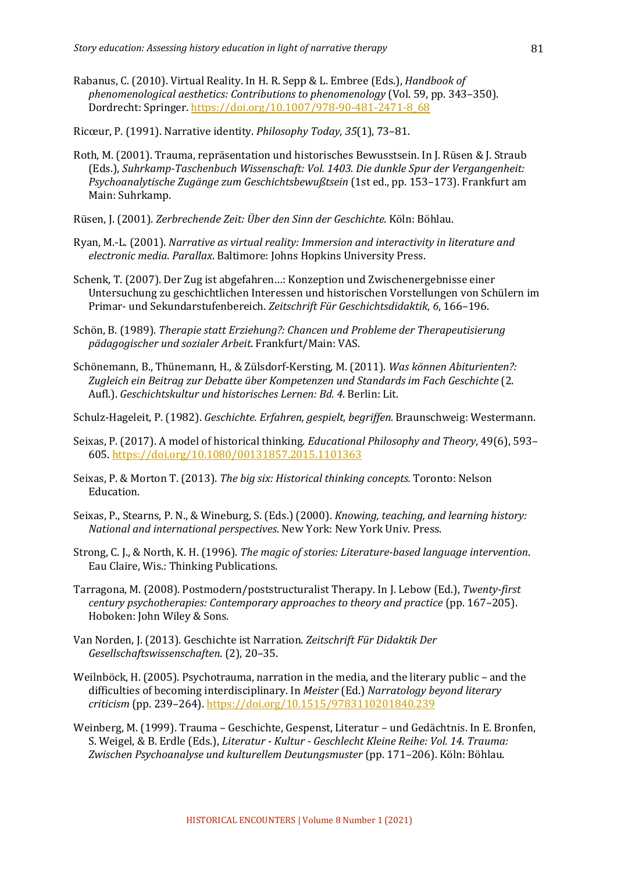Rabanus, C. (2010). Virtual Reality. In H. R. Sepp & L. Embree (Eds.), *Handbook of phenomenological aesthetics: Contributions to phenomenology* (Vol. 59, pp. 343–350). Dordrecht: Springer. https://doi.org/10.1007/978-90-481-2471-8\_68

Ricœur, P. (1991). Narrative identity. *Philosophy Today*, 35(1), 73-81.

- Roth, M. (2001). Trauma, repräsentation und historisches Bewusstsein. In J. Rüsen & J. Straub (Eds.), Suhrkamp-Taschenbuch Wissenschaft: Vol. 1403. Die dunkle Spur der Vergangenheit: Psychoanalytische Zugänge zum Geschichtsbewußtsein (1st ed., pp. 153-173). Frankfurt am Main: Suhrkamp.
- Rüsen, J. (2001). Zerbrechende Zeit: Über den Sinn der Geschichte. Köln: Böhlau.
- Ryan, M.-L. (2001). *Narrative as virtual reality: Immersion and interactivity in literature and electronic media. Parallax.* Baltimore: Johns Hopkins University Press.
- Schenk, T. (2007). Der Zug ist abgefahren...: Konzeption und Zwischenergebnisse einer Untersuchung zu geschichtlichen Interessen und historischen Vorstellungen von Schülern im Primar- und Sekundarstufenbereich. *Zeitschrift Für Geschichtsdidaktik*, *6*, 166–196.
- Schön, B. (1989). *Therapie statt Erziehung?: Chancen und Probleme der Therapeutisierung pädagogischer und sozialer Arbeit*. Frankfurt/Main: VAS.
- Schönemann, B., Thünemann, H., & Zülsdorf-Kersting, M. (2011). Was können Abiturienten?: Zugleich ein Beitrag zur Debatte über Kompetenzen und Standards im Fach Geschichte (2. Aufl.). Geschichtskultur und historisches Lernen: Bd. 4. Berlin: Lit.
- Schulz-Hageleit, P. (1982). *Geschichte. Erfahren, gespielt, begriffen.* Braunschweig: Westermann.
- Seixas, P. (2017). A model of historical thinking. *Educational Philosophy and Theory*, 49(6), 593– 605. https://doi.org/10.1080/00131857.2015.1101363
- Seixas, P. & Morton T. (2013). *The big six: Historical thinking concepts*. Toronto: Nelson Education.
- Seixas, P., Stearns, P. N., & Wineburg, S. (Eds.) (2000). *Knowing, teaching, and learning history: National and international perspectives*. New York: New York Univ. Press.
- Strong, C. J., & North, K. H. (1996). *The magic of stories: Literature-based language intervention.* Eau Claire, Wis.: Thinking Publications.
- Tarragona, M. (2008). Postmodern/poststructuralist Therapy. In J. Lebow (Ed.), *Twenty-first century psychotherapies: Contemporary approaches to theory and practice* (pp. 167–205). Hoboken: John Wiley & Sons.
- Van Norden, J. (2013). Geschichte ist Narration. Zeitschrift Für Didaktik Der *Gesellschaftswissenschaften*. (2), 20–35.
- Weilnböck, H. (2005). Psychotrauma, narration in the media, and the literary public and the difficulties of becoming interdisciplinary. In *Meister* (Ed.) *Narratology beyond literary criticism* (pp. 239–264). https://doi.org/10.1515/9783110201840.239
- Weinberg, M. (1999). Trauma Geschichte, Gespenst, Literatur und Gedächtnis. In E. Bronfen, S. Weigel, & B. Erdle (Eds.), *Literatur - Kultur - Geschlecht Kleine Reihe: Vol. 14. Trauma:* Zwischen Psychoanalyse und kulturellem Deutungsmuster (pp. 171–206). Köln: Böhlau.